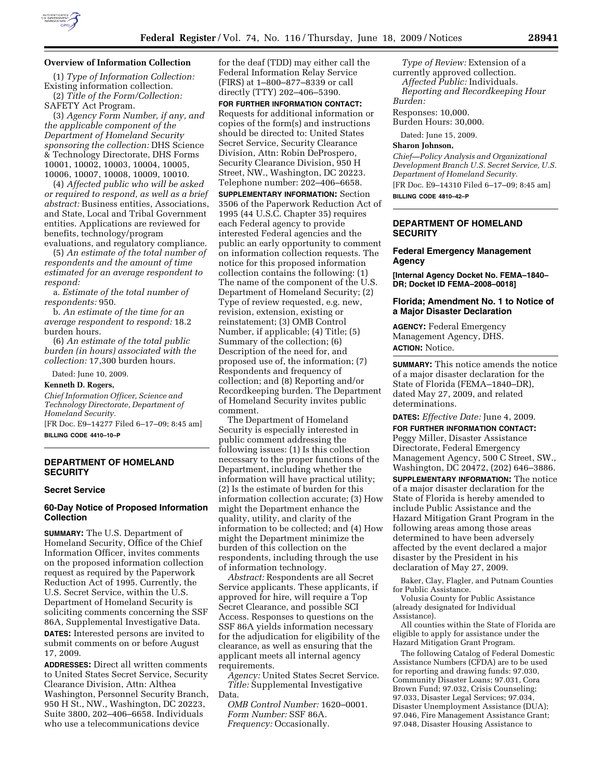

### **Overview of Information Collection**

(1) *Type of Information Collection:*  Existing information collection.

(2) *Title of the Form/Collection:*  SAFETY Act Program.

(3) *Agency Form Number, if any, and the applicable component of the Department of Homeland Security sponsoring the collection:* DHS Science & Technology Directorate, DHS Forms 10001, 10002, 10003, 10004, 10005, 10006, 10007, 10008, 10009, 10010.

(4) *Affected public who will be asked or required to respond, as well as a brief abstract:* Business entities, Associations, and State, Local and Tribal Government entities. Applications are reviewed for benefits, technology/program evaluations, and regulatory compliance.

(5) *An estimate of the total number of respondents and the amount of time estimated for an average respondent to respond:* 

a. *Estimate of the total number of respondents:* 950.

b. *An estimate of the time for an average respondent to respond:* 18.2 burden hours.

(6) *An estimate of the total public burden (in hours) associated with the collection:* 17,300 burden hours.

Dated: June 10, 2009.

#### **Kenneth D. Rogers,**

*Chief Information Officer, Science and Technology Directorate, Department of Homeland Security.* 

[FR Doc. E9–14277 Filed 6–17–09; 8:45 am] **BILLING CODE 4410–10–P** 

# **DEPARTMENT OF HOMELAND SECURITY**

#### **Secret Service**

# **60-Day Notice of Proposed Information Collection**

**SUMMARY:** The U.S. Department of Homeland Security, Office of the Chief Information Officer, invites comments on the proposed information collection request as required by the Paperwork Reduction Act of 1995. Currently, the U.S. Secret Service, within the U.S. Department of Homeland Security is soliciting comments concerning the SSF 86A, Supplemental Investigative Data. **DATES:** Interested persons are invited to submit comments on or before August 17, 2009.

**ADDRESSES:** Direct all written comments to United States Secret Service, Security Clearance Division, Attn: Althea Washington, Personnel Security Branch, 950 H St., NW., Washington, DC 20223, Suite 3800, 202–406–6658. Individuals who use a telecommunications device

for the deaf (TDD) may either call the Federal Information Relay Service (FIRS) at 1–800–877–8339 or call directly (TTY) 202–406–5390.

**FOR FURTHER INFORMATION CONTACT:**  Requests for additional information or copies of the form(s) and instructions should be directed to: United States Secret Service, Security Clearance Division, Attn: Robin DeProspero, Security Clearance Division, 950 H Street, NW., Washington, DC 20223. Telephone number: 202–406–6658.

**SUPPLEMENTARY INFORMATION:** Section 3506 of the Paperwork Reduction Act of 1995 (44 U.S.C. Chapter 35) requires each Federal agency to provide interested Federal agencies and the public an early opportunity to comment on information collection requests. The notice for this proposed information collection contains the following: (1) The name of the component of the U.S. Department of Homeland Security; (2) Type of review requested, e.g. new, revision, extension, existing or reinstatement; (3) OMB Control Number, if applicable; (4) Title; (5) Summary of the collection; (6) Description of the need for, and proposed use of, the information; (7) Respondents and frequency of collection; and (8) Reporting and/or Recordkeeping burden. The Department of Homeland Security invites public comment.

The Department of Homeland Security is especially interested in public comment addressing the following issues: (1) Is this collection necessary to the proper functions of the Department, including whether the information will have practical utility; (2) Is the estimate of burden for this information collection accurate; (3) How might the Department enhance the quality, utility, and clarity of the information to be collected; and (4) How might the Department minimize the burden of this collection on the respondents, including through the use of information technology.

*Abstract:* Respondents are all Secret Service applicants. These applicants, if approved for hire, will require a Top Secret Clearance, and possible SCI Access. Responses to questions on the SSF 86A yields information necessary for the adjudication for eligibility of the clearance, as well as ensuring that the applicant meets all internal agency requirements.

*Agency:* United States Secret Service. *Title:* Supplemental Investigative Data.

*OMB Control Number:* 1620–0001. *Form Number:* SSF 86A. *Frequency:* Occasionally.

*Type of Review:* Extension of a currently approved collection. *Affected Public:* Individuals. *Reporting and Recordkeeping Hour Burden:* 

Responses: 10,000. Burden Hours: 30,000.

Dated: June 15, 2009.

**Sharon Johnson,** 

*Chief—Policy Analysis and Organizational Development Branch U.S. Secret Service, U.S. Department of Homeland Security.*  [FR Doc. E9–14310 Filed 6–17–09; 8:45 am] **BILLING CODE 4810–42–P** 

## **DEPARTMENT OF HOMELAND SECURITY**

## **Federal Emergency Management Agency**

**[Internal Agency Docket No. FEMA–1840– DR; Docket ID FEMA–2008–0018]** 

# **Florida; Amendment No. 1 to Notice of a Major Disaster Declaration**

**AGENCY:** Federal Emergency Management Agency, DHS. **ACTION:** Notice.

**SUMMARY:** This notice amends the notice of a major disaster declaration for the State of Florida (FEMA–1840–DR), dated May 27, 2009, and related determinations.

**DATES:** *Effective Date:* June 4, 2009.

**FOR FURTHER INFORMATION CONTACT:**  Peggy Miller, Disaster Assistance Directorate, Federal Emergency Management Agency, 500 C Street, SW., Washington, DC 20472, (202) 646–3886.

**SUPPLEMENTARY INFORMATION:** The notice of a major disaster declaration for the State of Florida is hereby amended to include Public Assistance and the Hazard Mitigation Grant Program in the following areas among those areas determined to have been adversely affected by the event declared a major disaster by the President in his declaration of May 27, 2009.

Baker, Clay, Flagler, and Putnam Counties for Public Assistance.

Volusia County for Public Assistance (already designated for Individual Assistance).

All counties within the State of Florida are eligible to apply for assistance under the Hazard Mitigation Grant Program.

The following Catalog of Federal Domestic Assistance Numbers (CFDA) are to be used for reporting and drawing funds: 97.030, Community Disaster Loans; 97.031, Cora Brown Fund; 97.032, Crisis Counseling; 97.033, Disaster Legal Services; 97.034, Disaster Unemployment Assistance (DUA); 97.046, Fire Management Assistance Grant; 97.048, Disaster Housing Assistance to